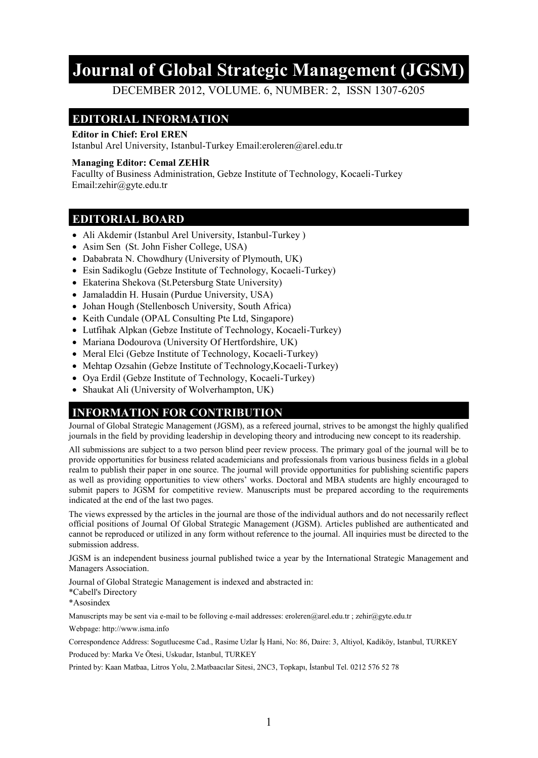# **Journal of Global Strategic Management (JGSM)**

DECEMBER 2012, VOLUME. 6, NUMBER: 2, ISSN 1307-6205

## **EDITORIAL INFORMATION**

#### **Editor in Chief: Erol EREN**

Istanbul Arel University, Istanbul-Turkey Email:eroleren@arel.edu.tr

#### **Managing Editor: Cemal ZEHİR**

Facullty of Business Administration, Gebze Institute of Technology, Kocaeli-Turkey Email:zehir@gyte.edu.tr

#### **EDITORIAL BOARD**

- Ali Akdemir (Istanbul Arel University, Istanbul-Turkey )
- Asim Sen (St. John Fisher College, USA)
- Dababrata N. Chowdhury (University of Plymouth, UK)
- Esin Sadikoglu (Gebze Institute of Technology, Kocaeli-Turkey)
- Ekaterina Shekova (St. Petersburg State University)
- Jamaladdin H. Husain (Purdue University, USA)
- Johan Hough (Stellenbosch University, South Africa)
- Keith Cundale (OPAL Consulting Pte Ltd, Singapore)
- Lutfihak Alpkan (Gebze Institute of Technology, Kocaeli-Turkey)
- Mariana Dodourova (University Of Hertfordshire, UK)
- Meral Elci (Gebze Institute of Technology, Kocaeli-Turkey)
- Mehtap Ozsahin (Gebze Institute of Technology, Kocaeli-Turkey)
- Oya Erdil (Gebze Institute of Technology, Kocaeli-Turkey)
- Shaukat Ali (University of Wolverhampton, UK)

#### **INFORMATION FOR CONTRIBUTION**

Journal of Global Strategic Management (JGSM), as a refereed journal, strives to be amongst the highly qualified journals in the field by providing leadership in developing theory and introducing new concept to its readership.

All submissions are subject to a two person blind peer review process. The primary goal of the journal will be to provide opportunities for business related academicians and professionals from various business fields in a global realm to publish their paper in one source. The journal will provide opportunities for publishing scientific papers as well as providing opportunities to view others' works. Doctoral and MBA students are highly encouraged to submit papers to JGSM for competitive review. Manuscripts must be prepared according to the requirements indicated at the end of the last two pages.

The views expressed by the articles in the journal are those of the individual authors and do not necessarily reflect official positions of Journal Of Global Strategic Management (JGSM). Articles published are authenticated and cannot be reproduced or utilized in any form without reference to the journal. All inquiries must be directed to the submission address.

JGSM is an independent business journal published twice a year by the International Strategic Management and Managers Association.

Journal of Global Strategic Management is indexed and abstracted in:

\*Cabell's Directory

\*Asosindex

Manuscripts may be sent via e-mail to be folloving e-mail addresses: eroleren@arel.edu.tr ; zehir@gyte.edu.tr

Webpage: http://www.isma.info

Correspondence Address: Sogutlucesme Cad., Rasime Uzlar İş Hani, No: 86, Daire: 3, Altiyol, Kadiköy, Istanbul, TURKEY

Produced by: Marka Ve Ötesi, Uskudar, Istanbul, TURKEY

Printed by: Kaan Matbaa, Litros Yolu, 2.Matbaacılar Sitesi, 2NC3, Topkapı, İstanbul Tel. 0212 576 52 78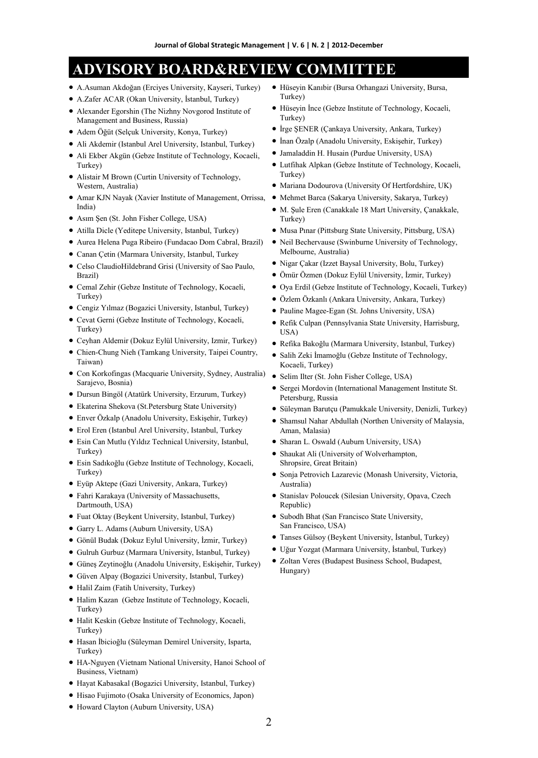## **ADVISORY BOARD&REVIEW COMMITTEE**

- A.Asuman Akdoğan (Erciyes University, Kayseri, Turkey)
- A.Zafer ACAR (Okan University, İstanbul, Turkey)
- Alexander Egorshin (The Nizhny Novgorod Institute of Management and Business, Russia)
- Adem Öğüt (Selçuk University, Konya, Turkey)
- Ali Akdemir (Istanbul Arel University, Istanbul, Turkey)
- Ali Ekber Akgün (Gebze Institute of Technology, Kocaeli, Turkey)
- Alistair M Brown (Curtin University of Technology, Western, Australia)
- Amar KJN Nayak (Xavier Institute of Management, Orrissa, India)
- Asım Şen (St. John Fisher College, USA)
- Atilla Dicle (Yeditepe University, Istanbul, Turkey)
- Aurea Helena Puga Ribeiro (Fundacao Dom Cabral, Brazil)
- Canan Çetin (Marmara University, Istanbul, Turkey
- Celso ClaudioHildebrand Grisi (University of Sao Paulo, Brazil)
- Cemal Zehir (Gebze Institute of Technology, Kocaeli, Turkey)
- Cengiz Yılmaz (Bogazici University, Istanbul, Turkey)
- Cevat Gerni (Gebze Institute of Technology, Kocaeli, Turkey)
- Ceyhan Aldemir (Dokuz Eylül University, Izmir, Turkey)
- Chien-Chung Nieh (Tamkang University, Taipei Country, Taiwan)
- Con Korkofingas (Macquarie University, Sydney, Australia) Sarajevo, Bosnia)
- Dursun Bingöl (Atatürk University, Erzurum, Turkey)
- Ekaterina Shekova (St.Petersburg State University)
- Enver Özkalp (Anadolu University, Eskişehir, Turkey)
- Erol Eren (Istanbul Arel University, Istanbul, Turkey
- Esin Can Mutlu (Yıldız Technical University, Istanbul, Turkey)
- Esin Sadıkoğlu (Gebze Institute of Technology, Kocaeli, Turkey)
- Eyüp Aktepe (Gazi University, Ankara, Turkey)
- Fahri Karakaya (University of Massachusetts, Dartmouth, USA)
- Fuat Oktay (Beykent University, Istanbul, Turkey)
- Garry L. Adams (Auburn University, USA)
- Gönül Budak (Dokuz Eylul University, İzmir, Turkey)
- Gulruh Gurbuz (Marmara University, Istanbul, Turkey)
- Güneş Zeytinoğlu (Anadolu University, Eskişehir, Turkey)
- Güven Alpay (Bogazici University, Istanbul, Turkey)
- Halil Zaim (Fatih University, Turkey)
- Halim Kazan (Gebze Institute of Technology, Kocaeli, Turkey)
- Halit Keskin (Gebze Institute of Technology, Kocaeli, Turkey)
- Hasan İbicioğlu (Süleyman Demirel University, Isparta, Turkey)
- HA-Nguyen (Vietnam National University, Hanoi School of Business, Vietnam)
- Hayat Kabasakal (Bogazici University, Istanbul, Turkey)
- Hisao Fujimoto (Osaka University of Economics, Japon)
- Howard Clayton (Auburn University, USA)
- Hüseyin Kanıbir (Bursa Orhangazi University, Bursa, Turkey)
- Hüseyin İnce (Gebze Institute of Technology, Kocaeli, Turkey)
- $\bullet$  İrge SENER (Cankaya University, Ankara, Turkey)
- İnan Özalp (Anadolu University, Eskişehir, Turkey)
- Jamaladdin H. Husain (Purdue University, USA)
- Lutfihak Alpkan (Gebze Institute of Technology, Kocaeli, Turkey)
- Mariana Dodourova (University Of Hertfordshire, UK)
- Mehmet Barca (Sakarya University, Sakarya, Turkey)
- M. Şule Eren (Canakkale 18 Mart University, Çanakkale, Turkey)
- $\bullet$  Musa Pınar (Pittsburg State University, Pittsburg, USA)
- Neil Bechervause (Swinburne University of Technology, Melbourne, Australia)
- Nigar Çakar (Izzet Baysal University, Bolu, Turkey)
- Ömür Özmen (Dokuz Eylül University, İzmir, Turkey)
- Oya Erdil (Gebze Institute of Technology, Kocaeli, Turkey)
- Özlem Özkanlı (Ankara University, Ankara, Turkey)
- Pauline Magee-Egan (St. Johns University, USA)
- Refik Culpan (Pennsylvania State University, Harrisburg, USA)
- Refika Bakoğlu (Marmara University, Istanbul, Turkey)
- Salih Zeki İmamoğlu (Gebze Institute of Technology, Kocaeli, Turkey)
- Selim Ilter (St. John Fisher College, USA)
- Sergei Mordovin (International Management Institute St. Petersburg, Russia
- Süleyman Barutçu (Pamukkale University, Denizli, Turkey)
- Shamsul Nahar Abdullah (Northen University of Malaysia, Aman, Malasia)
- Sharan L. Oswald (Auburn University, USA)
- Shaukat Ali (University of Wolverhampton, Shropsire, Great Britain)
- Sonja Petrovich Lazarevic (Monash University, Victoria, Australia)
- Stanislav Poloucek (Silesian University, Opava, Czech Republic)
- Subodh Bhat (San Francisco State University, San Francisco, USA)
- Tanses Gülsoy (Beykent University, İstanbul, Turkey)
- Uğur Yozgat (Marmara University, İstanbul, Turkey)
- Zoltan Veres (Budapest Business School, Budapest, Hungary)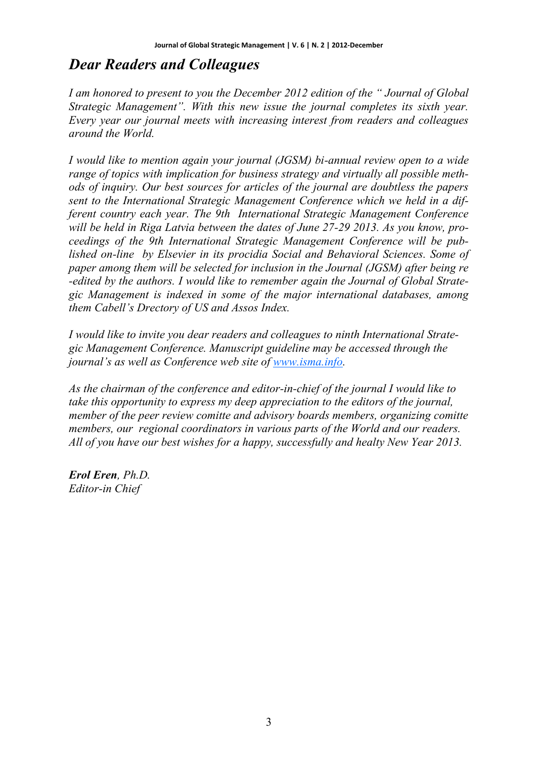# *Dear Readers and Colleagues*

*I am honored to present to you the December 2012 edition of the " Journal of Global Strategic Management". With this new issue the journal completes its sixth year. Every year our journal meets with increasing interest from readers and colleagues around the World.* 

*I would like to mention again your journal (JGSM) bi-annual review open to a wide range of topics with implication for business strategy and virtually all possible methods of inquiry. Our best sources for articles of the journal are doubtless the papers sent to the International Strategic Management Conference which we held in a different country each year. The 9th International Strategic Management Conference will be held in Riga Latvia between the dates of June 27-29 2013. As you know, proceedings of the 9th International Strategic Management Conference will be published on-line by Elsevier in its procidia Social and Behavioral Sciences. Some of paper among them will be selected for inclusion in the Journal (JGSM) after being re -edited by the authors. I would like to remember again the Journal of Global Strategic Management is indexed in some of the major international databases, among them Cabell's Drectory of US and Assos Index.*

*I would like to invite you dear readers and colleagues to ninth International Strategic Management Conference. Manuscript guideline may be accessed through the journal's as well as Conference web site of [www.isma.info.](http://www.isma.info)* 

*As the chairman of the conference and editor-in-chief of the journal I would like to take this opportunity to express my deep appreciation to the editors of the journal, member of the peer review comitte and advisory boards members, organizing comitte members, our regional coordinators in various parts of the World and our readers. All of you have our best wishes for a happy, successfully and healty New Year 2013.* 

*Erol Eren, Ph.D. Editor-in Chief*